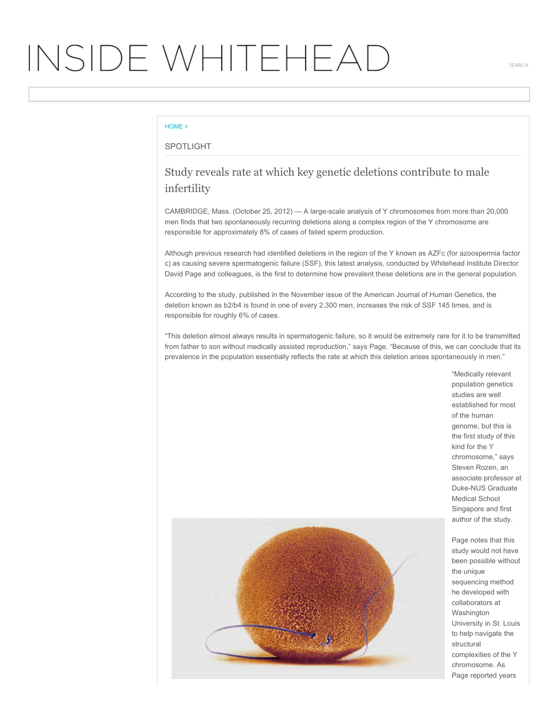## INSIDE WHITEHEAD

## [HOME](http://wi-inside.wi.mit.edu/) >

## SPOTLIGHT

## Study reveals rate at which key genetic deletions contribute to male infertility

CAMBRIDGE, Mass. (October 25, 2012) — A large-scale analysis of Y chromosomes from more than 20,000 men finds that two spontaneously recurring deletions along a complex region of the Y chromosome are responsible for approximately 8% of cases of failed sperm production.

Although previous research had identified deletions in the region of the Y known as AZFc (for azoospermia factor c) as causing severe spermatogenic failure (SSF), this latest analysis, conducted by Whitehead Institute Director David Page and colleagues, is the first to determine how prevalent these deletions are in the general population.

According to the study, published in the November issue of the American Journal of Human Genetics, the deletion known as b2/b4 is found in one of every 2,300 men, increases the risk of SSF 145 times, and is responsible for roughly 6% of cases.

"This deletion almost always results in spermatogenic failure, so it would be extremely rare for it to be transmitted from father to son without medically assisted reproduction," says Page. "Because of this, we can conclude that its prevalence in the population essentially reflects the rate at which this deletion arises spontaneously in men."

> "Medically relevant population genetics studies are well established for most of the human genome, but this is the first study of this kind for the Y chromosome," says Steven Rozen, an associate professor at Duke-NUS Graduate Medical School Singapore and first author of the study.



Page notes that this study would not have been possible without the unique sequencing method he developed with collaborators at Washington University in St. Louis to help navigate the structural complexities of the Y chromosome. As Page reported years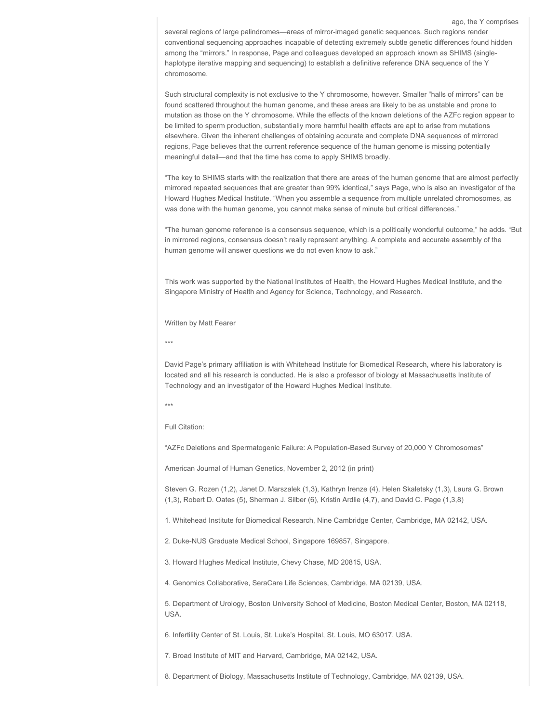several regions of large palindromes—areas of mirror-imaged genetic sequences. Such regions render conventional sequencing approaches incapable of detecting extremely subtle genetic differences found hidden among the "mirrors." In response, Page and colleagues developed an approach known as SHIMS (singlehaplotype iterative mapping and sequencing) to establish a definitive reference DNA sequence of the Y chromosome.

ago, the Y comprises

Such structural complexity is not exclusive to the Y chromosome, however. Smaller "halls of mirrors" can be found scattered throughout the human genome, and these areas are likely to be as unstable and prone to mutation as those on the Y chromosome. While the effects of the known deletions of the AZFc region appear to be limited to sperm production, substantially more harmful health effects are apt to arise from mutations elsewhere. Given the inherent challenges of obtaining accurate and complete DNA sequences of mirrored regions, Page believes that the current reference sequence of the human genome is missing potentially meaningful detail—and that the time has come to apply SHIMS broadly.

"The key to SHIMS starts with the realization that there are areas of the human genome that are almost perfectly mirrored repeated sequences that are greater than 99% identical," says Page, who is also an investigator of the Howard Hughes Medical Institute. "When you assemble a sequence from multiple unrelated chromosomes, as was done with the human genome, you cannot make sense of minute but critical differences."

"The human genome reference is a consensus sequence, which is a politically wonderful outcome," he adds. "But in mirrored regions, consensus doesn't really represent anything. A complete and accurate assembly of the human genome will answer questions we do not even know to ask."

This work was supported by the National Institutes of Health, the Howard Hughes Medical Institute, and the Singapore Ministry of Health and Agency for Science, Technology, and Research.

Written by Matt Fearer

\*\*\*

David Page's primary affiliation is with Whitehead Institute for Biomedical Research, where his laboratory is located and all his research is conducted. He is also a professor of biology at Massachusetts Institute of Technology and an investigator of the Howard Hughes Medical Institute.

\*\*\*

Full Citation:

"AZFc Deletions and Spermatogenic Failure: A Population-Based Survey of 20,000 Y Chromosomes"

American Journal of Human Genetics, November 2, 2012 (in print)

Steven G. Rozen (1,2), Janet D. Marszalek (1,3), Kathryn Irenze (4), Helen Skaletsky (1,3), Laura G. Brown (1,3), Robert D. Oates (5), Sherman J. Silber (6), Kristin Ardlie (4,7), and David C. Page (1,3,8)

1. Whitehead Institute for Biomedical Research, Nine Cambridge Center, Cambridge, MA 02142, USA.

2. Duke-NUS Graduate Medical School, Singapore 169857, Singapore.

3. Howard Hughes Medical Institute, Chevy Chase, MD 20815, USA.

4. Genomics Collaborative, SeraCare Life Sciences, Cambridge, MA 02139, USA.

5. Department of Urology, Boston University School of Medicine, Boston Medical Center, Boston, MA 02118, USA.

6. Infertility Center of St. Louis, St. Luke's Hospital, St. Louis, MO 63017, USA.

7. Broad Institute of MIT and Harvard, Cambridge, MA 02142, USA.

8. Department of Biology, Massachusetts Institute of Technology, Cambridge, MA 02139, USA.